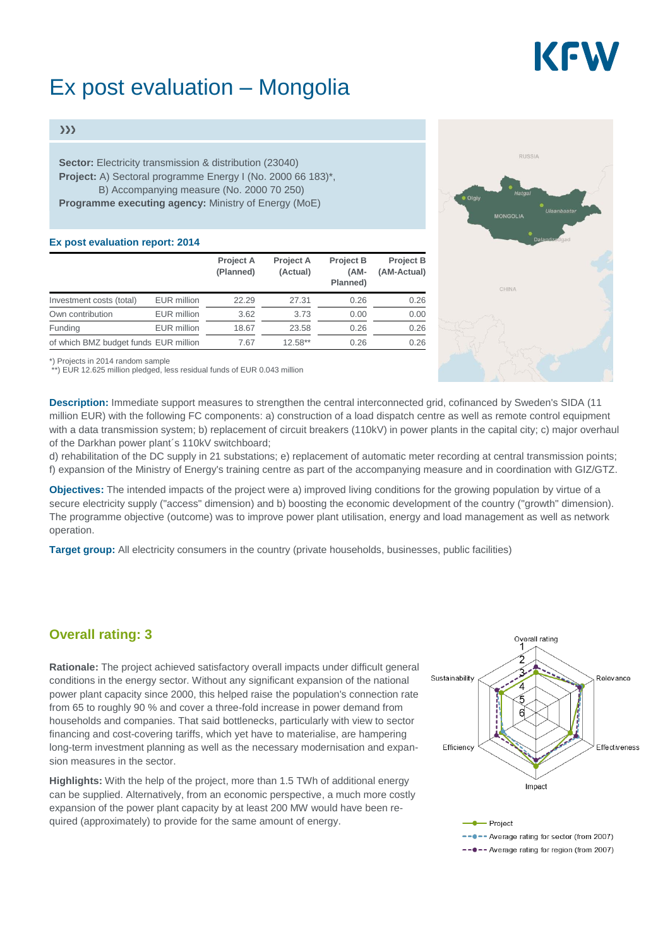# KEW

# Ex post evaluation – Mongolia

#### $\gg$

**Sector:** Electricity transmission & distribution (23040) **Project:** A) Sectoral programme Energy I (No. 2000 66 183)\*, B) Accompanying measure (No. 2000 70 250) **Programme executing agency:** Ministry of Energy (MoE)

#### **Ex post evaluation report: 2014**

|                                       |                    | <b>Project A</b><br>(Planned) | <b>Project A</b><br>(Actual) | <b>Project B</b><br>$(AM -$<br>Planned) | <b>Project B</b><br>(AM-Actual) |
|---------------------------------------|--------------------|-------------------------------|------------------------------|-----------------------------------------|---------------------------------|
| Investment costs (total)              | <b>EUR</b> million | 22.29                         | 27.31                        | 0.26                                    | 0.26                            |
| Own contribution                      | <b>EUR</b> million | 3.62                          | 3.73                         | 0.00                                    | 0.00                            |
| Funding                               | <b>EUR</b> million | 18.67                         | 23.58                        | 0.26                                    | 0.26                            |
| of which BMZ budget funds EUR million |                    | 7.67                          | $12.58**$                    | 0.26                                    | 0.26                            |



\*) Projects in 2014 random sample

\*\*) EUR 12.625 million pledged, less residual funds of EUR 0.043 million

**Description:** Immediate support measures to strengthen the central interconnected grid, cofinanced by Sweden's SIDA (11 million EUR) with the following FC components: a) construction of a load dispatch centre as well as remote control equipment with a data transmission system; b) replacement of circuit breakers (110kV) in power plants in the capital city; c) major overhaul of the Darkhan power plant´s 110kV switchboard;

d) rehabilitation of the DC supply in 21 substations; e) replacement of automatic meter recording at central transmission points; f) expansion of the Ministry of Energy's training centre as part of the accompanying measure and in coordination with GIZ/GTZ.

**Objectives:** The intended impacts of the project were a) improved living conditions for the growing population by virtue of a secure electricity supply ("access" dimension) and b) boosting the economic development of the country ("growth" dimension). The programme objective (outcome) was to improve power plant utilisation, energy and load management as well as network operation.

**Target group:** All electricity consumers in the country (private households, businesses, public facilities)

### **Overall rating: 3**

**Rationale:** The project achieved satisfactory overall impacts under difficult general conditions in the energy sector. Without any significant expansion of the national power plant capacity since 2000, this helped raise the population's connection rate from 65 to roughly 90 % and cover a three-fold increase in power demand from households and companies. That said bottlenecks, particularly with view to sector financing and cost-covering tariffs, which yet have to materialise, are hampering long-term investment planning as well as the necessary modernisation and expansion measures in the sector.

**Highlights:** With the help of the project, more than 1.5 TWh of additional energy can be supplied. Alternatively, from an economic perspective, a much more costly expansion of the power plant capacity by at least 200 MW would have been required (approximately) to provide for the same amount of energy.



---- Average rating for sector (from 2007) -- •- Average rating for region (from 2007)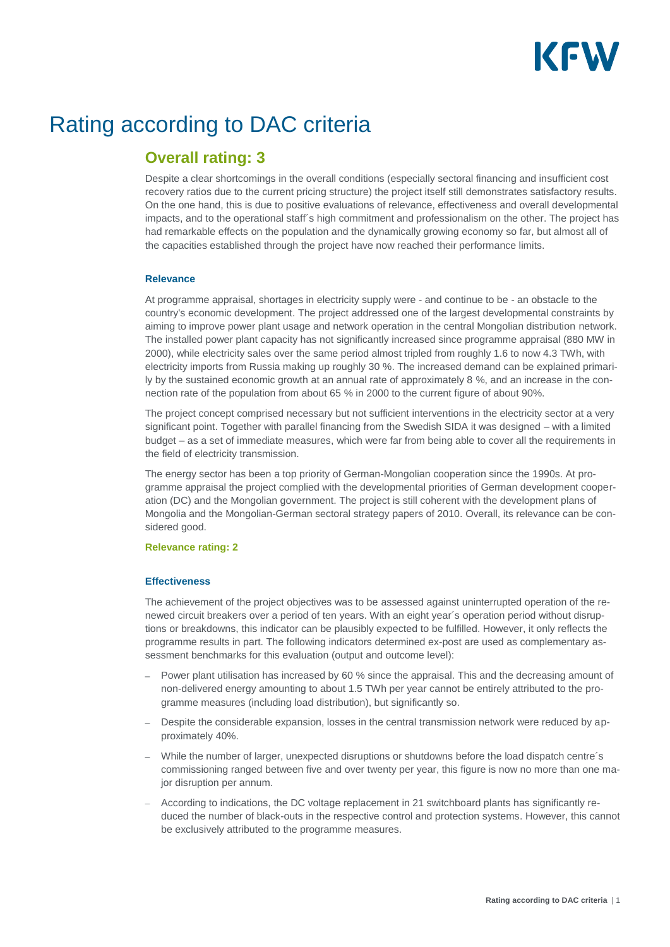

## Rating according to DAC criteria

### **Overall rating: 3**

Despite a clear shortcomings in the overall conditions (especially sectoral financing and insufficient cost recovery ratios due to the current pricing structure) the project itself still demonstrates satisfactory results. On the one hand, this is due to positive evaluations of relevance, effectiveness and overall developmental impacts, and to the operational staff´s high commitment and professionalism on the other. The project has had remarkable effects on the population and the dynamically growing economy so far, but almost all of the capacities established through the project have now reached their performance limits.

#### **Relevance**

At programme appraisal, shortages in electricity supply were - and continue to be - an obstacle to the country's economic development. The project addressed one of the largest developmental constraints by aiming to improve power plant usage and network operation in the central Mongolian distribution network. The installed power plant capacity has not significantly increased since programme appraisal (880 MW in 2000), while electricity sales over the same period almost tripled from roughly 1.6 to now 4.3 TWh, with electricity imports from Russia making up roughly 30 %. The increased demand can be explained primarily by the sustained economic growth at an annual rate of approximately 8 %, and an increase in the connection rate of the population from about 65 % in 2000 to the current figure of about 90%.

The project concept comprised necessary but not sufficient interventions in the electricity sector at a very significant point. Together with parallel financing from the Swedish SIDA it was designed – with a limited budget – as a set of immediate measures, which were far from being able to cover all the requirements in the field of electricity transmission.

The energy sector has been a top priority of German-Mongolian cooperation since the 1990s. At programme appraisal the project complied with the developmental priorities of German development cooperation (DC) and the Mongolian government. The project is still coherent with the development plans of Mongolia and the Mongolian-German sectoral strategy papers of 2010. Overall, its relevance can be considered good.

#### **Relevance rating: 2**

#### **Effectiveness**

The achievement of the project objectives was to be assessed against uninterrupted operation of the renewed circuit breakers over a period of ten years. With an eight year´s operation period without disruptions or breakdowns, this indicator can be plausibly expected to be fulfilled. However, it only reflects the programme results in part. The following indicators determined ex-post are used as complementary assessment benchmarks for this evaluation (output and outcome level):

- Power plant utilisation has increased by 60 % since the appraisal. This and the decreasing amount of non-delivered energy amounting to about 1.5 TWh per year cannot be entirely attributed to the programme measures (including load distribution), but significantly so.
- Despite the considerable expansion, losses in the central transmission network were reduced by approximately 40%.
- While the number of larger, unexpected disruptions or shutdowns before the load dispatch centre´s commissioning ranged between five and over twenty per year, this figure is now no more than one major disruption per annum.
- According to indications, the DC voltage replacement in 21 switchboard plants has significantly reduced the number of black-outs in the respective control and protection systems. However, this cannot be exclusively attributed to the programme measures.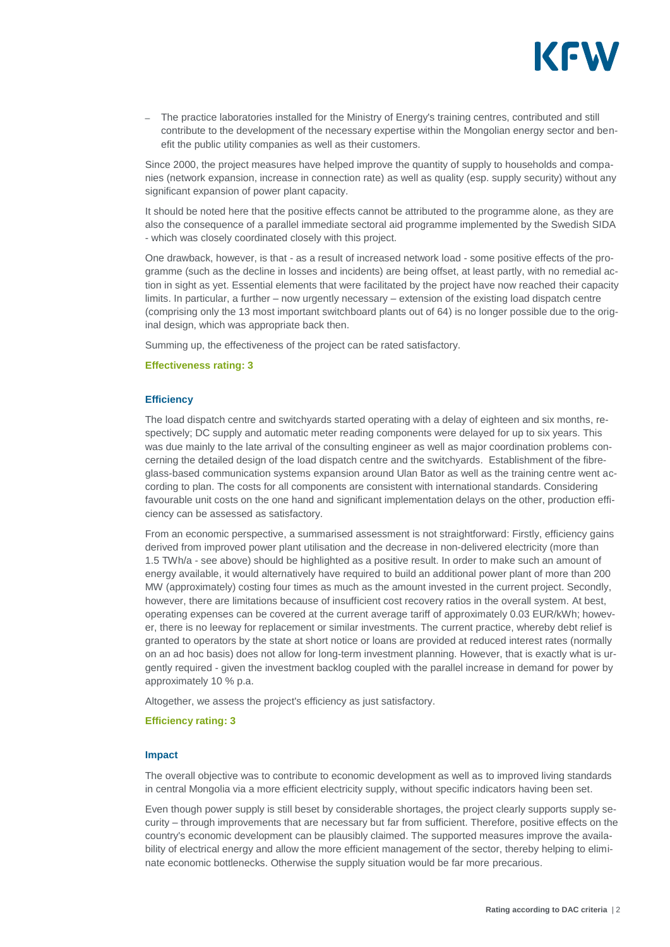

- The practice laboratories installed for the Ministry of Energy's training centres, contributed and still contribute to the development of the necessary expertise within the Mongolian energy sector and benefit the public utility companies as well as their customers.

Since 2000, the project measures have helped improve the quantity of supply to households and companies (network expansion, increase in connection rate) as well as quality (esp. supply security) without any significant expansion of power plant capacity.

It should be noted here that the positive effects cannot be attributed to the programme alone, as they are also the consequence of a parallel immediate sectoral aid programme implemented by the Swedish SIDA - which was closely coordinated closely with this project.

One drawback, however, is that - as a result of increased network load - some positive effects of the programme (such as the decline in losses and incidents) are being offset, at least partly, with no remedial action in sight as yet. Essential elements that were facilitated by the project have now reached their capacity limits. In particular, a further – now urgently necessary – extension of the existing load dispatch centre (comprising only the 13 most important switchboard plants out of 64) is no longer possible due to the original design, which was appropriate back then.

Summing up, the effectiveness of the project can be rated satisfactory.

#### **Effectiveness rating: 3**

#### **Efficiency**

The load dispatch centre and switchyards started operating with a delay of eighteen and six months, respectively; DC supply and automatic meter reading components were delayed for up to six years. This was due mainly to the late arrival of the consulting engineer as well as major coordination problems concerning the detailed design of the load dispatch centre and the switchyards. Establishment of the fibreglass-based communication systems expansion around Ulan Bator as well as the training centre went according to plan. The costs for all components are consistent with international standards. Considering favourable unit costs on the one hand and significant implementation delays on the other, production efficiency can be assessed as satisfactory.

From an economic perspective, a summarised assessment is not straightforward: Firstly, efficiency gains derived from improved power plant utilisation and the decrease in non-delivered electricity (more than 1.5 TWh/a - see above) should be highlighted as a positive result. In order to make such an amount of energy available, it would alternatively have required to build an additional power plant of more than 200 MW (approximately) costing four times as much as the amount invested in the current project. Secondly, however, there are limitations because of insufficient cost recovery ratios in the overall system. At best, operating expenses can be covered at the current average tariff of approximately 0.03 EUR/kWh; however, there is no leeway for replacement or similar investments. The current practice, whereby debt relief is granted to operators by the state at short notice or loans are provided at reduced interest rates (normally on an ad hoc basis) does not allow for long-term investment planning. However, that is exactly what is urgently required - given the investment backlog coupled with the parallel increase in demand for power by approximately 10 % p.a.

Altogether, we assess the project's efficiency as just satisfactory.

#### **Efficiency rating: 3**

#### **Impact**

The overall objective was to contribute to economic development as well as to improved living standards in central Mongolia via a more efficient electricity supply, without specific indicators having been set.

Even though power supply is still beset by considerable shortages, the project clearly supports supply security – through improvements that are necessary but far from sufficient. Therefore, positive effects on the country's economic development can be plausibly claimed. The supported measures improve the availability of electrical energy and allow the more efficient management of the sector, thereby helping to eliminate economic bottlenecks. Otherwise the supply situation would be far more precarious.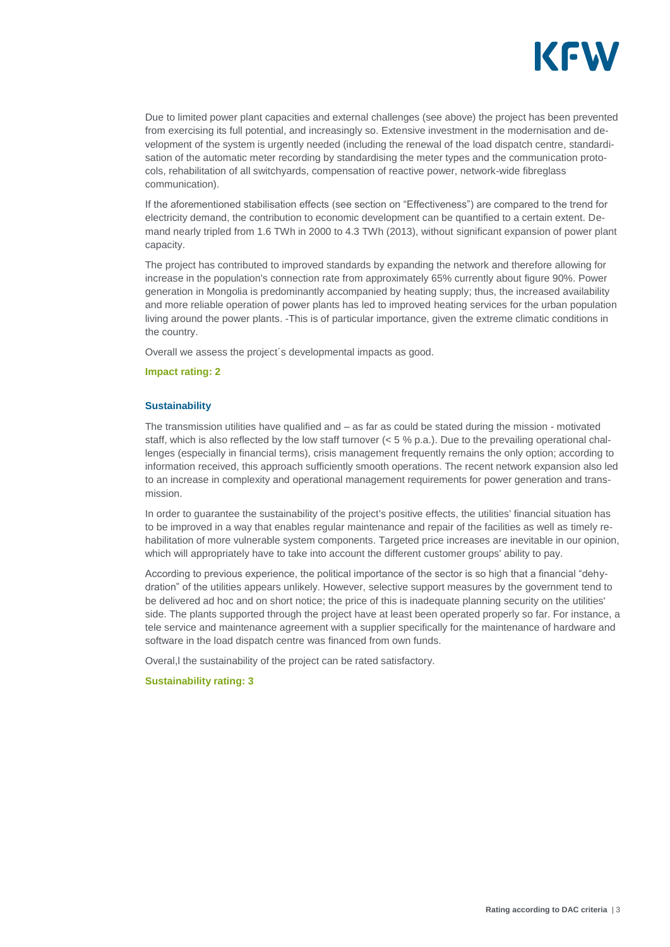

Due to limited power plant capacities and external challenges (see above) the project has been prevented from exercising its full potential, and increasingly so. Extensive investment in the modernisation and development of the system is urgently needed (including the renewal of the load dispatch centre, standardisation of the automatic meter recording by standardising the meter types and the communication protocols, rehabilitation of all switchyards, compensation of reactive power, network-wide fibreglass communication).

If the aforementioned stabilisation effects (see section on "Effectiveness") are compared to the trend for electricity demand, the contribution to economic development can be quantified to a certain extent. Demand nearly tripled from 1.6 TWh in 2000 to 4.3 TWh (2013), without significant expansion of power plant capacity.

The project has contributed to improved standards by expanding the network and therefore allowing for increase in the population's connection rate from approximately 65% currently about figure 90%. Power generation in Mongolia is predominantly accompanied by heating supply; thus, the increased availability and more reliable operation of power plants has led to improved heating services for the urban population living around the power plants. -This is of particular importance, given the extreme climatic conditions in the country.

Overall we assess the project´s developmental impacts as good.

#### **Impact rating: 2**

#### **Sustainability**

The transmission utilities have qualified and – as far as could be stated during the mission - motivated staff, which is also reflected by the low staff turnover (< 5 % p.a.). Due to the prevailing operational challenges (especially in financial terms), crisis management frequently remains the only option; according to information received, this approach sufficiently smooth operations. The recent network expansion also led to an increase in complexity and operational management requirements for power generation and transmission.

In order to guarantee the sustainability of the project's positive effects, the utilities' financial situation has to be improved in a way that enables regular maintenance and repair of the facilities as well as timely rehabilitation of more vulnerable system components. Targeted price increases are inevitable in our opinion, which will appropriately have to take into account the different customer groups' ability to pay.

According to previous experience, the political importance of the sector is so high that a financial "dehydration" of the utilities appears unlikely. However, selective support measures by the government tend to be delivered ad hoc and on short notice; the price of this is inadequate planning security on the utilities' side. The plants supported through the project have at least been operated properly so far. For instance, a tele service and maintenance agreement with a supplier specifically for the maintenance of hardware and software in the load dispatch centre was financed from own funds.

Overal,l the sustainability of the project can be rated satisfactory.

#### **Sustainability rating: 3**